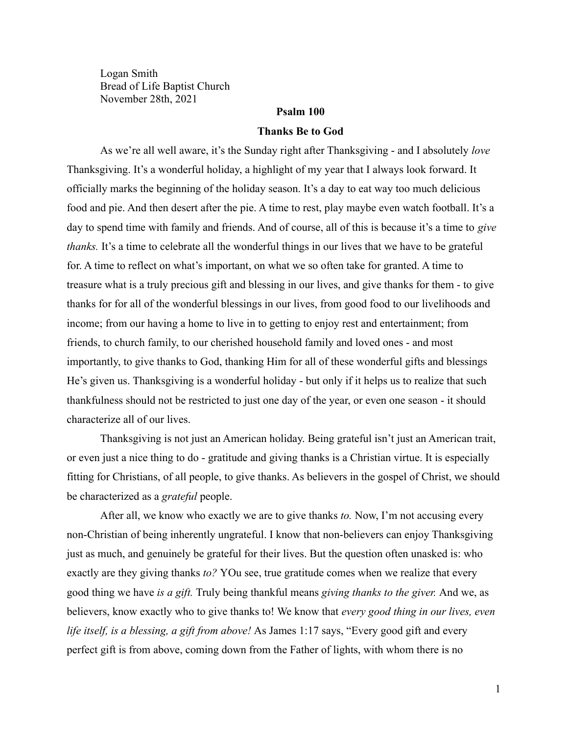Logan Smith Bread of Life Baptist Church November 28th, 2021

## **Psalm 100**

#### **Thanks Be to God**

As we're all well aware, it's the Sunday right after Thanksgiving - and I absolutely *love* Thanksgiving. It's a wonderful holiday, a highlight of my year that I always look forward. It officially marks the beginning of the holiday season. It's a day to eat way too much delicious food and pie. And then desert after the pie. A time to rest, play maybe even watch football. It's a day to spend time with family and friends. And of course, all of this is because it's a time to *give thanks.* It's a time to celebrate all the wonderful things in our lives that we have to be grateful for. A time to reflect on what's important, on what we so often take for granted. A time to treasure what is a truly precious gift and blessing in our lives, and give thanks for them - to give thanks for for all of the wonderful blessings in our lives, from good food to our livelihoods and income; from our having a home to live in to getting to enjoy rest and entertainment; from friends, to church family, to our cherished household family and loved ones - and most importantly, to give thanks to God, thanking Him for all of these wonderful gifts and blessings He's given us. Thanksgiving is a wonderful holiday - but only if it helps us to realize that such thankfulness should not be restricted to just one day of the year, or even one season - it should characterize all of our lives.

Thanksgiving is not just an American holiday. Being grateful isn't just an American trait, or even just a nice thing to do - gratitude and giving thanks is a Christian virtue. It is especially fitting for Christians, of all people, to give thanks. As believers in the gospel of Christ, we should be characterized as a *grateful* people.

After all, we know who exactly we are to give thanks *to.* Now, I'm not accusing every non-Christian of being inherently ungrateful. I know that non-believers can enjoy Thanksgiving just as much, and genuinely be grateful for their lives. But the question often unasked is: who exactly are they giving thanks *to?* YOu see, true gratitude comes when we realize that every good thing we have *is a gift.* Truly being thankful means *giving thanks to the giver.* And we, as believers, know exactly who to give thanks to! We know that *every good thing in our lives, even life itself, is a blessing, a gift from above!* As James 1:17 says, "Every good gift and every perfect gift is from above, coming down from the Father of lights, with whom there is no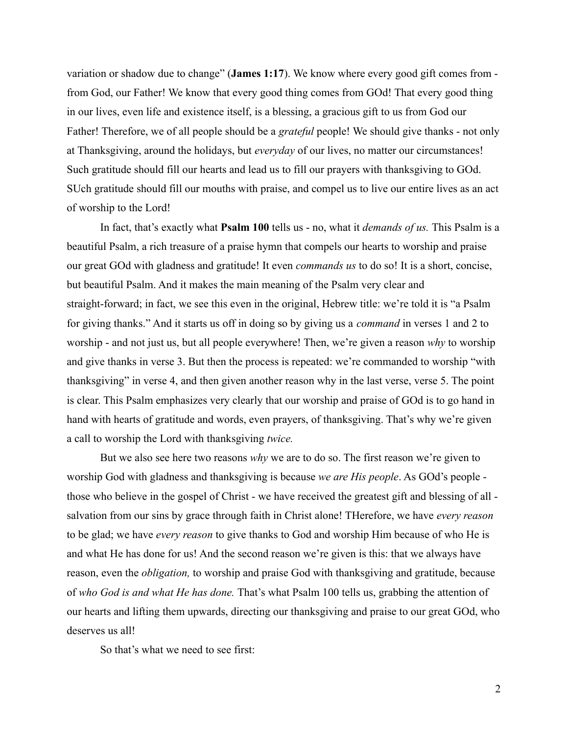variation or shadow due to change" (**James 1:17**). We know where every good gift comes from from God, our Father! We know that every good thing comes from GOd! That every good thing in our lives, even life and existence itself, is a blessing, a gracious gift to us from God our Father! Therefore, we of all people should be a *grateful* people! We should give thanks - not only at Thanksgiving, around the holidays, but *everyday* of our lives, no matter our circumstances! Such gratitude should fill our hearts and lead us to fill our prayers with thanksgiving to GOd. SUch gratitude should fill our mouths with praise, and compel us to live our entire lives as an act of worship to the Lord!

In fact, that's exactly what **Psalm 100** tells us - no, what it *demands of us.* This Psalm is a beautiful Psalm, a rich treasure of a praise hymn that compels our hearts to worship and praise our great GOd with gladness and gratitude! It even *commands us* to do so! It is a short, concise, but beautiful Psalm. And it makes the main meaning of the Psalm very clear and straight-forward; in fact, we see this even in the original, Hebrew title: we're told it is "a Psalm for giving thanks." And it starts us off in doing so by giving us a *command* in verses 1 and 2 to worship - and not just us, but all people everywhere! Then, we're given a reason *why* to worship and give thanks in verse 3. But then the process is repeated: we're commanded to worship "with thanksgiving" in verse 4, and then given another reason why in the last verse, verse 5. The point is clear. This Psalm emphasizes very clearly that our worship and praise of GOd is to go hand in hand with hearts of gratitude and words, even prayers, of thanksgiving. That's why we're given a call to worship the Lord with thanksgiving *twice.*

But we also see here two reasons *why* we are to do so. The first reason we're given to worship God with gladness and thanksgiving is because *we are His people*. As GOd's people those who believe in the gospel of Christ - we have received the greatest gift and blessing of all salvation from our sins by grace through faith in Christ alone! THerefore, we have *every reason* to be glad; we have *every reason* to give thanks to God and worship Him because of who He is and what He has done for us! And the second reason we're given is this: that we always have reason, even the *obligation,* to worship and praise God with thanksgiving and gratitude, because of *who God is and what He has done.* That's what Psalm 100 tells us, grabbing the attention of our hearts and lifting them upwards, directing our thanksgiving and praise to our great GOd, who deserves us all!

So that's what we need to see first: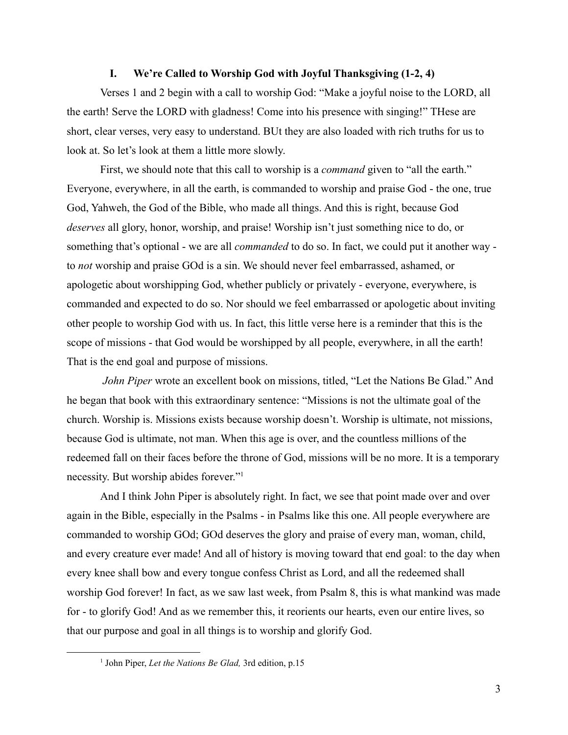### **I. We're Called to Worship God with Joyful Thanksgiving (1-2, 4)**

Verses 1 and 2 begin with a call to worship God: "Make a joyful noise to the LORD, all the earth! Serve the LORD with gladness! Come into his presence with singing!" THese are short, clear verses, very easy to understand. BUt they are also loaded with rich truths for us to look at. So let's look at them a little more slowly.

First, we should note that this call to worship is a *command* given to "all the earth." Everyone, everywhere, in all the earth, is commanded to worship and praise God - the one, true God, Yahweh, the God of the Bible, who made all things. And this is right, because God *deserves* all glory, honor, worship, and praise! Worship isn't just something nice to do, or something that's optional - we are all *commanded* to do so. In fact, we could put it another way to *not* worship and praise GOd is a sin. We should never feel embarrassed, ashamed, or apologetic about worshipping God, whether publicly or privately - everyone, everywhere, is commanded and expected to do so. Nor should we feel embarrassed or apologetic about inviting other people to worship God with us. In fact, this little verse here is a reminder that this is the scope of missions - that God would be worshipped by all people, everywhere, in all the earth! That is the end goal and purpose of missions.

*John Piper* wrote an excellent book on missions, titled, "Let the Nations Be Glad." And he began that book with this extraordinary sentence: "Missions is not the ultimate goal of the church. Worship is. Missions exists because worship doesn't. Worship is ultimate, not missions, because God is ultimate, not man. When this age is over, and the countless millions of the redeemed fall on their faces before the throne of God, missions will be no more. It is a temporary necessity. But worship abides forever."<sup>1</sup>

And I think John Piper is absolutely right. In fact, we see that point made over and over again in the Bible, especially in the Psalms - in Psalms like this one. All people everywhere are commanded to worship GOd; GOd deserves the glory and praise of every man, woman, child, and every creature ever made! And all of history is moving toward that end goal: to the day when every knee shall bow and every tongue confess Christ as Lord, and all the redeemed shall worship God forever! In fact, as we saw last week, from Psalm 8, this is what mankind was made for - to glorify God! And as we remember this, it reorients our hearts, even our entire lives, so that our purpose and goal in all things is to worship and glorify God.

<sup>1</sup> John Piper, *Let the Nations Be Glad,* 3rd edition, p.15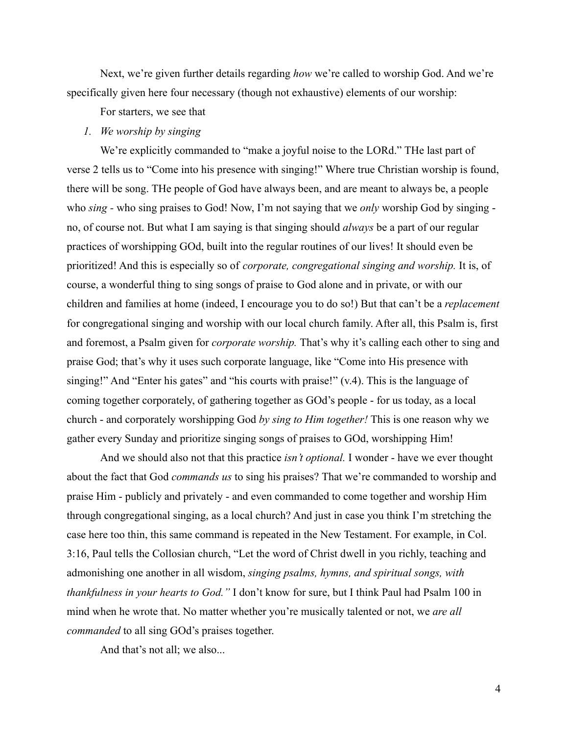Next, we're given further details regarding *how* we're called to worship God. And we're specifically given here four necessary (though not exhaustive) elements of our worship:

For starters, we see that

### *1. We worship by singing*

We're explicitly commanded to "make a joyful noise to the LORd." The last part of verse 2 tells us to "Come into his presence with singing!" Where true Christian worship is found, there will be song. THe people of God have always been, and are meant to always be, a people who *sing -* who sing praises to God! Now, I'm not saying that we *only* worship God by singing no, of course not. But what I am saying is that singing should *always* be a part of our regular practices of worshipping GOd, built into the regular routines of our lives! It should even be prioritized! And this is especially so of *corporate, congregational singing and worship.* It is, of course, a wonderful thing to sing songs of praise to God alone and in private, or with our children and families at home (indeed, I encourage you to do so!) But that can't be a *replacement* for congregational singing and worship with our local church family. After all, this Psalm is, first and foremost, a Psalm given for *corporate worship.* That's why it's calling each other to sing and praise God; that's why it uses such corporate language, like "Come into His presence with singing!" And "Enter his gates" and "his courts with praise!" (v.4). This is the language of coming together corporately, of gathering together as GOd's people - for us today, as a local church - and corporately worshipping God *by sing to Him together!* This is one reason why we gather every Sunday and prioritize singing songs of praises to GOd, worshipping Him!

And we should also not that this practice *isn't optional.* I wonder - have we ever thought about the fact that God *commands us* to sing his praises? That we're commanded to worship and praise Him - publicly and privately - and even commanded to come together and worship Him through congregational singing, as a local church? And just in case you think I'm stretching the case here too thin, this same command is repeated in the New Testament. For example, in Col. 3:16, Paul tells the Collosian church, "Let the word of Christ dwell in you richly, teaching and admonishing one another in all wisdom, *singing psalms, hymns, and spiritual songs, with thankfulness in your hearts to God."* I don't know for sure, but I think Paul had Psalm 100 in mind when he wrote that. No matter whether you're musically talented or not, we *are all commanded* to all sing GOd's praises together.

And that's not all; we also...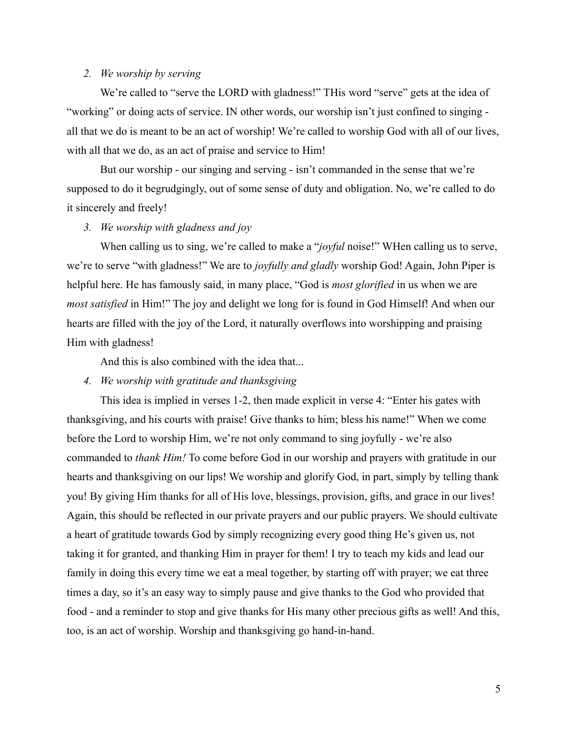# *2. We worship by serving*

We're called to "serve the LORD with gladness!" THis word "serve" gets at the idea of "working" or doing acts of service. IN other words, our worship isn't just confined to singing all that we do is meant to be an act of worship! We're called to worship God with all of our lives, with all that we do, as an act of praise and service to Him!

But our worship - our singing and serving - isn't commanded in the sense that we're supposed to do it begrudgingly, out of some sense of duty and obligation. No, we're called to do it sincerely and freely!

# *3. We worship with gladness and joy*

When calling us to sing, we're called to make a "*joyful* noise!" WHen calling us to serve, we're to serve "with gladness!" We are to *joyfully and gladly* worship God! Again, John Piper is helpful here. He has famously said, in many place, "God is *most glorified* in us when we are *most satisfied* in Him!" The joy and delight we long for is found in God Himself! And when our hearts are filled with the joy of the Lord, it naturally overflows into worshipping and praising Him with gladness!

And this is also combined with the idea that...

## *4. We worship with gratitude and thanksgiving*

This idea is implied in verses 1-2, then made explicit in verse 4: "Enter his gates with thanksgiving, and his courts with praise! Give thanks to him; bless his name!" When we come before the Lord to worship Him, we're not only command to sing joyfully - we're also commanded to *thank Him!* To come before God in our worship and prayers with gratitude in our hearts and thanksgiving on our lips! We worship and glorify God, in part, simply by telling thank you! By giving Him thanks for all of His love, blessings, provision, gifts, and grace in our lives! Again, this should be reflected in our private prayers and our public prayers. We should cultivate a heart of gratitude towards God by simply recognizing every good thing He's given us, not taking it for granted, and thanking Him in prayer for them! I try to teach my kids and lead our family in doing this every time we eat a meal together, by starting off with prayer; we eat three times a day, so it's an easy way to simply pause and give thanks to the God who provided that food - and a reminder to stop and give thanks for His many other precious gifts as well! And this, too, is an act of worship. Worship and thanksgiving go hand-in-hand.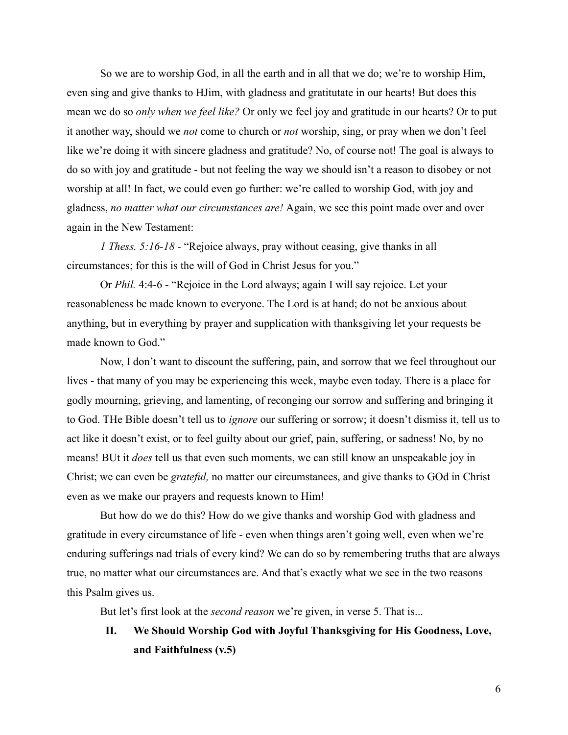So we are to worship God, in all the earth and in all that we do; we're to worship Him, even sing and give thanks to HJim, with gladness and gratitutate in our hearts! But does this mean we do so *only when we feel like?* Or only we feel joy and gratitude in our hearts? Or to put it another way, should we *not* come to church or *not* worship, sing, or pray when we don't feel like we're doing it with sincere gladness and gratitude? No, of course not! The goal is always to do so with joy and gratitude - but not feeling the way we should isn't a reason to disobey or not worship at all! In fact, we could even go further: we're called to worship God, with joy and gladness, *no matter what our circumstances are!* Again, we see this point made over and over again in the New Testament:

*1 Thess. 5:16-18 -* "Rejoice always, pray without ceasing, give thanks in all circumstances; for this is the will of God in Christ Jesus for you."

Or *Phil.* 4:4-6 - "Rejoice in the Lord always; again I will say rejoice. Let your reasonableness be made known to everyone. The Lord is at hand; do not be anxious about anything, but in everything by prayer and supplication with thanksgiving let your requests be made known to God."

Now, I don't want to discount the suffering, pain, and sorrow that we feel throughout our lives - that many of you may be experiencing this week, maybe even today. There is a place for godly mourning, grieving, and lamenting, of reconging our sorrow and suffering and bringing it to God. THe Bible doesn't tell us to *ignore* our suffering or sorrow; it doesn't dismiss it, tell us to act like it doesn't exist, or to feel guilty about our grief, pain, suffering, or sadness! No, by no means! BUt it *does* tell us that even such moments, we can still know an unspeakable joy in Christ; we can even be *grateful,* no matter our circumstances, and give thanks to GOd in Christ even as we make our prayers and requests known to Him!

But how do we do this? How do we give thanks and worship God with gladness and gratitude in every circumstance of life - even when things aren't going well, even when we're enduring sufferings nad trials of every kind? We can do so by remembering truths that are always true, no matter what our circumstances are. And that's exactly what we see in the two reasons this Psalm gives us.

But let's first look at the *second reason* we're given, in verse 5. That is...

**II. We Should Worship God with Joyful Thanksgiving for His Goodness, Love, and Faithfulness (v.5)**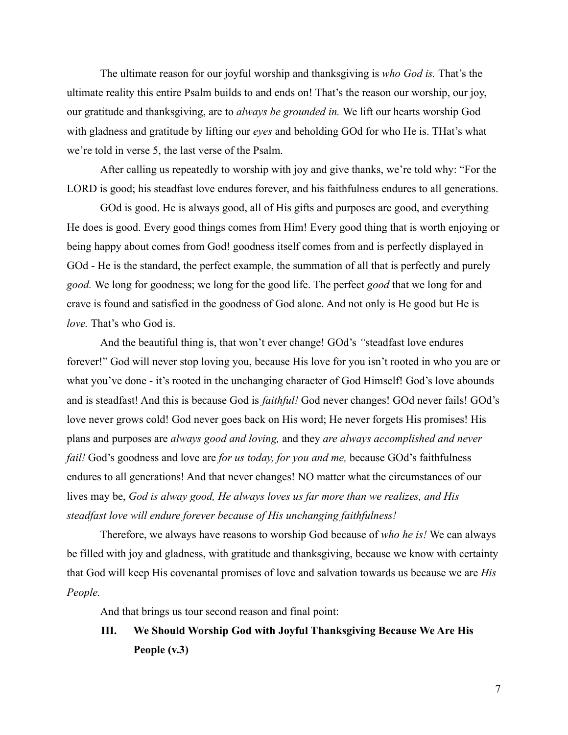The ultimate reason for our joyful worship and thanksgiving is *who God is.* That's the ultimate reality this entire Psalm builds to and ends on! That's the reason our worship, our joy, our gratitude and thanksgiving, are to *always be grounded in.* We lift our hearts worship God with gladness and gratitude by lifting our *eyes* and beholding GOd for who He is. THat's what we're told in verse 5, the last verse of the Psalm.

After calling us repeatedly to worship with joy and give thanks, we're told why: "For the LORD is good; his steadfast love endures forever, and his faithfulness endures to all generations.

GOd is good. He is always good, all of His gifts and purposes are good, and everything He does is good. Every good things comes from Him! Every good thing that is worth enjoying or being happy about comes from God! goodness itself comes from and is perfectly displayed in GOd - He is the standard, the perfect example, the summation of all that is perfectly and purely *good.* We long for goodness; we long for the good life. The perfect *good* that we long for and crave is found and satisfied in the goodness of God alone. And not only is He good but He is *love.* That's who God is.

And the beautiful thing is, that won't ever change! GOd's *"*steadfast love endures forever!" God will never stop loving you, because His love for you isn't rooted in who you are or what you've done - it's rooted in the unchanging character of God Himself! God's love abounds and is steadfast! And this is because God is *faithful!* God never changes! GOd never fails! GOd's love never grows cold! God never goes back on His word; He never forgets His promises! His plans and purposes are *always good and loving,* and they *are always accomplished and never fail!* God's goodness and love are *for us today, for you and me,* because GOd's faithfulness endures to all generations! And that never changes! NO matter what the circumstances of our lives may be, *God is alway good, He always loves us far more than we realizes, and His steadfast love will endure forever because of His unchanging faithfulness!*

Therefore, we always have reasons to worship God because of *who he is!* We can always be filled with joy and gladness, with gratitude and thanksgiving, because we know with certainty that God will keep His covenantal promises of love and salvation towards us because we are *His People.*

And that brings us tour second reason and final point:

**III. We Should Worship God with Joyful Thanksgiving Because We Are His People (v.3)**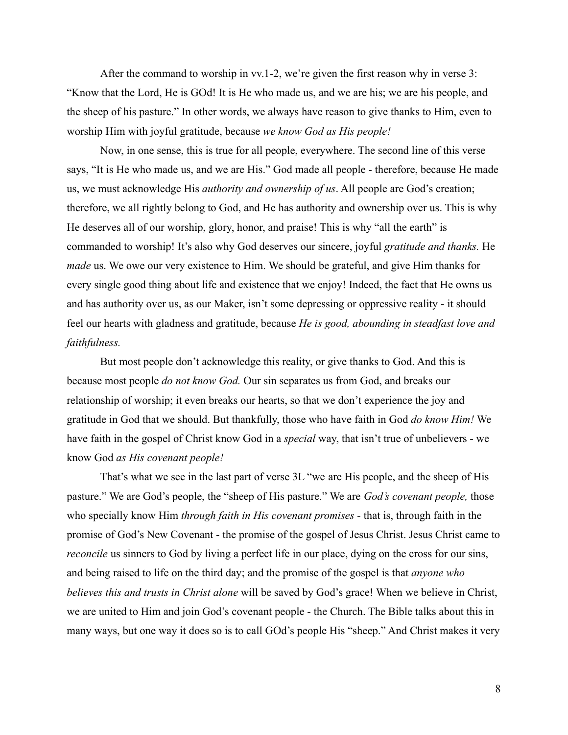After the command to worship in vv.1-2, we're given the first reason why in verse 3: "Know that the Lord, He is GOd! It is He who made us, and we are his; we are his people, and the sheep of his pasture." In other words, we always have reason to give thanks to Him, even to worship Him with joyful gratitude, because *we know God as His people!*

Now, in one sense, this is true for all people, everywhere. The second line of this verse says, "It is He who made us, and we are His." God made all people - therefore, because He made us, we must acknowledge His *authority and ownership of us*. All people are God's creation; therefore, we all rightly belong to God, and He has authority and ownership over us. This is why He deserves all of our worship, glory, honor, and praise! This is why "all the earth" is commanded to worship! It's also why God deserves our sincere, joyful *gratitude and thanks.* He *made* us. We owe our very existence to Him. We should be grateful, and give Him thanks for every single good thing about life and existence that we enjoy! Indeed, the fact that He owns us and has authority over us, as our Maker, isn't some depressing or oppressive reality - it should feel our hearts with gladness and gratitude, because *He is good, abounding in steadfast love and faithfulness.*

But most people don't acknowledge this reality, or give thanks to God. And this is because most people *do not know God.* Our sin separates us from God, and breaks our relationship of worship; it even breaks our hearts, so that we don't experience the joy and gratitude in God that we should. But thankfully, those who have faith in God *do know Him!* We have faith in the gospel of Christ know God in a *special* way, that isn't true of unbelievers - we know God *as His covenant people!*

That's what we see in the last part of verse 3L "we are His people, and the sheep of His pasture." We are God's people, the "sheep of His pasture." We are *God's covenant people,* those who specially know Him *through faith in His covenant promises -* that is, through faith in the promise of God's New Covenant - the promise of the gospel of Jesus Christ. Jesus Christ came to *reconcile* us sinners to God by living a perfect life in our place, dying on the cross for our sins, and being raised to life on the third day; and the promise of the gospel is that *anyone who believes this and trusts in Christ alone* will be saved by God's grace! When we believe in Christ, we are united to Him and join God's covenant people - the Church. The Bible talks about this in many ways, but one way it does so is to call GOd's people His "sheep." And Christ makes it very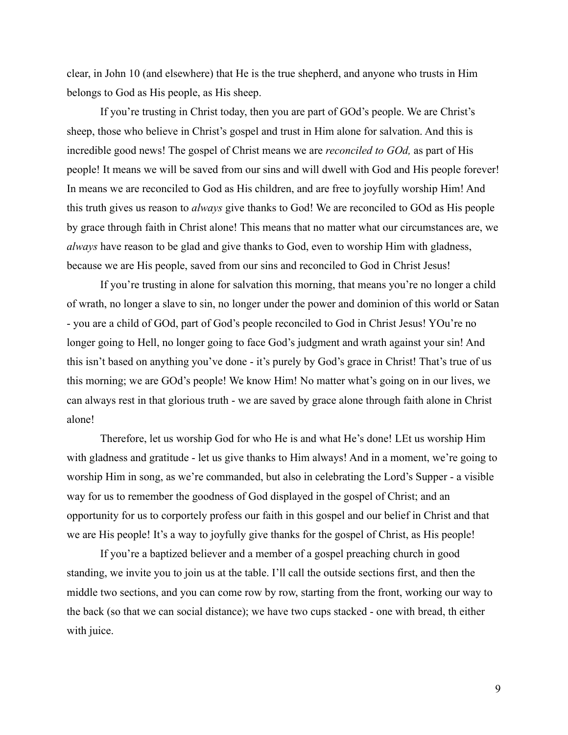clear, in John 10 (and elsewhere) that He is the true shepherd, and anyone who trusts in Him belongs to God as His people, as His sheep.

If you're trusting in Christ today, then you are part of GOd's people. We are Christ's sheep, those who believe in Christ's gospel and trust in Him alone for salvation. And this is incredible good news! The gospel of Christ means we are *reconciled to GOd,* as part of His people! It means we will be saved from our sins and will dwell with God and His people forever! In means we are reconciled to God as His children, and are free to joyfully worship Him! And this truth gives us reason to *always* give thanks to God! We are reconciled to GOd as His people by grace through faith in Christ alone! This means that no matter what our circumstances are, we *always* have reason to be glad and give thanks to God, even to worship Him with gladness, because we are His people, saved from our sins and reconciled to God in Christ Jesus!

If you're trusting in alone for salvation this morning, that means you're no longer a child of wrath, no longer a slave to sin, no longer under the power and dominion of this world or Satan - you are a child of GOd, part of God's people reconciled to God in Christ Jesus! YOu're no longer going to Hell, no longer going to face God's judgment and wrath against your sin! And this isn't based on anything you've done - it's purely by God's grace in Christ! That's true of us this morning; we are GOd's people! We know Him! No matter what's going on in our lives, we can always rest in that glorious truth - we are saved by grace alone through faith alone in Christ alone!

Therefore, let us worship God for who He is and what He's done! LEt us worship Him with gladness and gratitude - let us give thanks to Him always! And in a moment, we're going to worship Him in song, as we're commanded, but also in celebrating the Lord's Supper - a visible way for us to remember the goodness of God displayed in the gospel of Christ; and an opportunity for us to corportely profess our faith in this gospel and our belief in Christ and that we are His people! It's a way to joyfully give thanks for the gospel of Christ, as His people!

If you're a baptized believer and a member of a gospel preaching church in good standing, we invite you to join us at the table. I'll call the outside sections first, and then the middle two sections, and you can come row by row, starting from the front, working our way to the back (so that we can social distance); we have two cups stacked - one with bread, th either with juice.